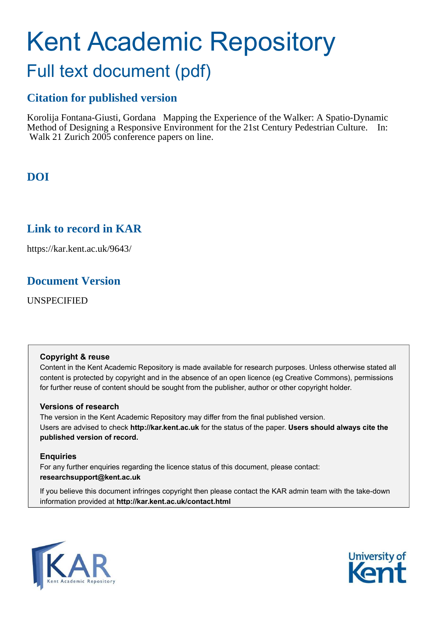# Kent Academic Repository Full text document (pdf)

# **Citation for published version**

Korolija Fontana-Giusti, Gordana Mapping the Experience of the Walker: A Spatio-Dynamic Method of Designing a Responsive Environment for the 21st Century Pedestrian Culture. In: Walk 21 Zurich 2005 conference papers on line.

**DOI**

# **Link to record in KAR**

https://kar.kent.ac.uk/9643/

# **Document Version**

UNSPECIFIED

#### **Copyright & reuse**

Content in the Kent Academic Repository is made available for research purposes. Unless otherwise stated all content is protected by copyright and in the absence of an open licence (eg Creative Commons), permissions for further reuse of content should be sought from the publisher, author or other copyright holder.

#### **Versions of research**

The version in the Kent Academic Repository may differ from the final published version. Users are advised to check **http://kar.kent.ac.uk** for the status of the paper. **Users should always cite the published version of record.**

#### **Enquiries**

For any further enquiries regarding the licence status of this document, please contact: **researchsupport@kent.ac.uk**

If you believe this document infringes copyright then please contact the KAR admin team with the take-down information provided at **http://kar.kent.ac.uk/contact.html**



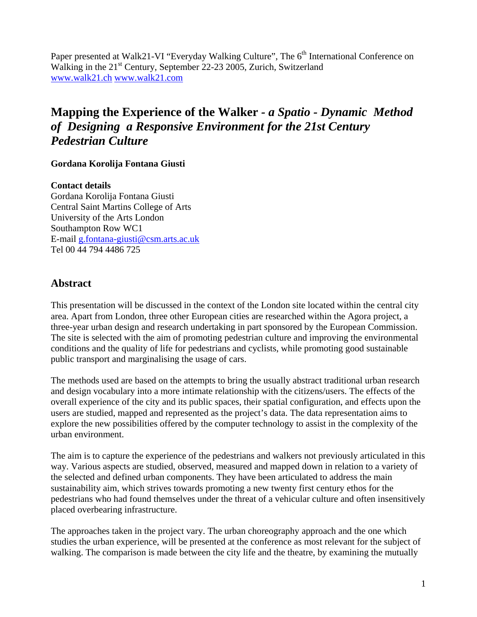Paper presented at Walk21-VI "Everyday Walking Culture", The 6<sup>th</sup> International Conference on Walking in the 21<sup>st</sup> Century, September 22-23 2005, Zurich, Switzerland www.walk21.ch www.walk21.com

# **Mapping the Experience of the Walker** *- a Spatio - Dynamic Method of Designing a Responsive Environment for the 21st Century Pedestrian Culture*

#### **Gordana Korolija Fontana Giusti**

#### **Contact details**

Gordana Korolija Fontana Giusti Central Saint Martins College of Arts University of the Arts London Southampton Row WC1 E-mail g.fontana-giusti@csm.arts.ac.uk Tel 00 44 794 4486 725

### **Abstract**

This presentation will be discussed in the context of the London site located within the central city area. Apart from London, three other European cities are researched within the Agora project, a three-year urban design and research undertaking in part sponsored by the European Commission. The site is selected with the aim of promoting pedestrian culture and improving the environmental conditions and the quality of life for pedestrians and cyclists, while promoting good sustainable public transport and marginalising the usage of cars.

The methods used are based on the attempts to bring the usually abstract traditional urban research and design vocabulary into a more intimate relationship with the citizens/users. The effects of the overall experience of the city and its public spaces, their spatial configuration, and effects upon the users are studied, mapped and represented as the project's data. The data representation aims to explore the new possibilities offered by the computer technology to assist in the complexity of the urban environment.

The aim is to capture the experience of the pedestrians and walkers not previously articulated in this way. Various aspects are studied, observed, measured and mapped down in relation to a variety of the selected and defined urban components. They have been articulated to address the main sustainability aim, which strives towards promoting a new twenty first century ethos for the pedestrians who had found themselves under the threat of a vehicular culture and often insensitively placed overbearing infrastructure.

The approaches taken in the project vary. The urban choreography approach and the one which studies the urban experience, will be presented at the conference as most relevant for the subject of walking. The comparison is made between the city life and the theatre, by examining the mutually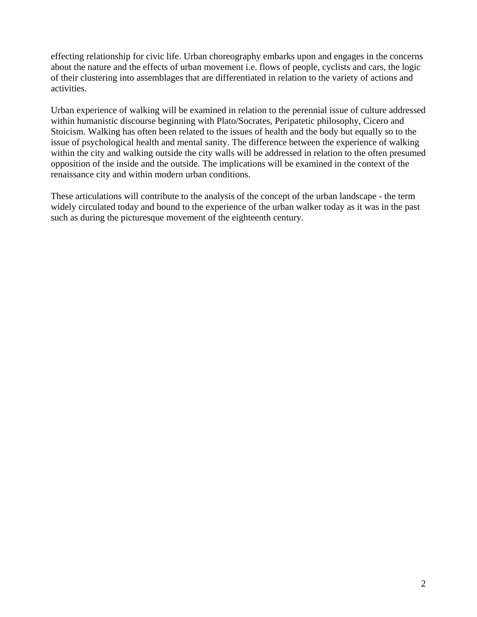effecting relationship for civic life. Urban choreography embarks upon and engages in the concerns about the nature and the effects of urban movement i.e. flows of people, cyclists and cars, the logic of their clustering into assemblages that are differentiated in relation to the variety of actions and activities.

Urban experience of walking will be examined in relation to the perennial issue of culture addressed within humanistic discourse beginning with Plato/Socrates, Peripatetic philosophy, Cicero and Stoicism. Walking has often been related to the issues of health and the body but equally so to the issue of psychological health and mental sanity. The difference between the experience of walking within the city and walking outside the city walls will be addressed in relation to the often presumed opposition of the inside and the outside. The implications will be examined in the context of the renaissance city and within modern urban conditions.

These articulations will contribute to the analysis of the concept of the urban landscape - the term widely circulated today and bound to the experience of the urban walker today as it was in the past such as during the picturesque movement of the eighteenth century.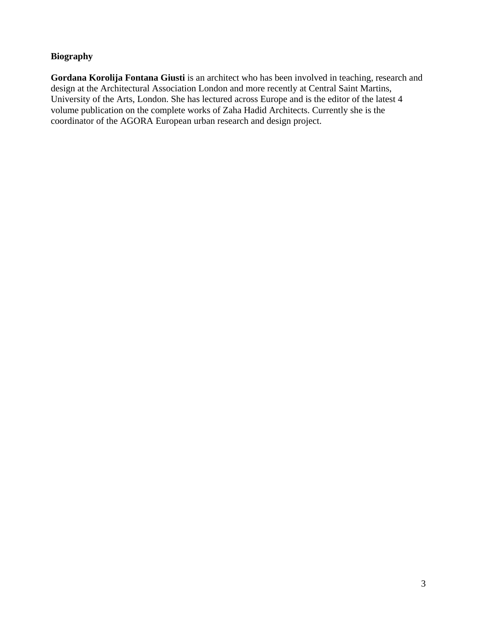#### **Biography**

**Gordana Korolija Fontana Giusti** is an architect who has been involved in teaching, research and design at the Architectural Association London and more recently at Central Saint Martins, University of the Arts, London. She has lectured across Europe and is the editor of the latest 4 volume publication on the complete works of Zaha Hadid Architects. Currently she is the coordinator of the AGORA European urban research and design project.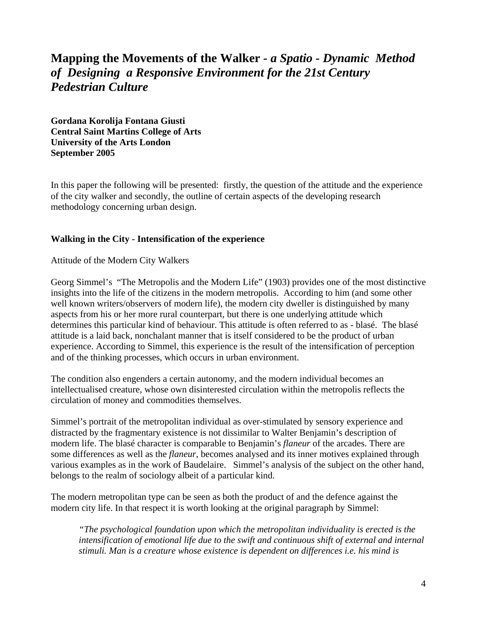# **Mapping the Movements of the Walker** *- a Spatio - Dynamic Method of Designing a Responsive Environment for the 21st Century Pedestrian Culture*

**Gordana Korolija Fontana Giusti Central Saint Martins College of Arts University of the Arts London September 2005** 

In this paper the following will be presented: firstly, the question of the attitude and the experience of the city walker and secondly, the outline of certain aspects of the developing research methodology concerning urban design.

#### **Walking in the City - Intensification of the experience**

Attitude of the Modern City Walkers

Georg Simmel's "The Metropolis and the Modern Life" (1903) provides one of the most distinctive insights into the life of the citizens in the modern metropolis. According to him (and some other well known writers/observers of modern life), the modern city dweller is distinguished by many aspects from his or her more rural counterpart, but there is one underlying attitude which determines this particular kind of behaviour. This attitude is often referred to as - blasé. The blasé attitude is a laid back, nonchalant manner that is itself considered to be the product of urban experience. According to Simmel, this experience is the result of the intensification of perception and of the thinking processes, which occurs in urban environment.

The condition also engenders a certain autonomy, and the modern individual becomes an intellectualised creature, whose own disinterested circulation within the metropolis reflects the circulation of money and commodities themselves.

Simmel's portrait of the metropolitan individual as over-stimulated by sensory experience and distracted by the fragmentary existence is not dissimilar to Walter Benjamin's description of modern life. The blasé character is comparable to Benjamin's *flaneur* of the arcades. There are some differences as well as the *flaneur*, becomes analysed and its inner motives explained through various examples as in the work of Baudelaire. Simmel's analysis of the subject on the other hand, belongs to the realm of sociology albeit of a particular kind.

The modern metropolitan type can be seen as both the product of and the defence against the modern city life. In that respect it is worth looking at the original paragraph by Simmel:

*"The psychological foundation upon which the metropolitan individuality is erected is the intensification of emotional life due to the swift and continuous shift of external and internal stimuli. Man is a creature whose existence is dependent on differences i.e. his mind is*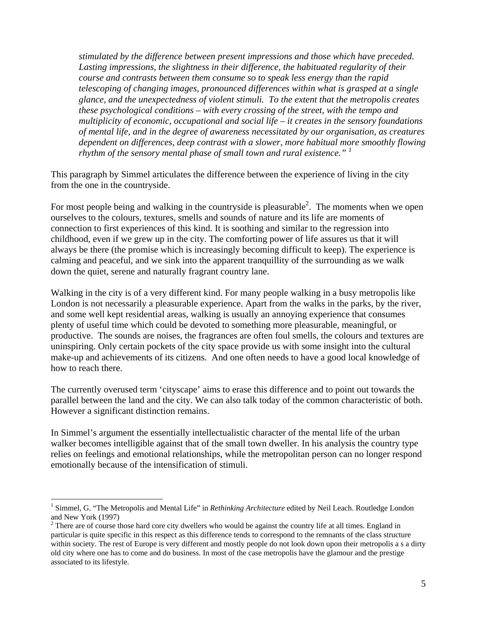*stimulated by the difference between present impressions and those which have preceded. Lasting impressions, the slightness in their difference, the habituated regularity of their course and contrasts between them consume so to speak less energy than the rapid telescoping of changing images, pronounced differences within what is grasped at a single glance, and the unexpectedness of violent stimuli. To the extent that the metropolis creates these psychological conditions – with every crossing of the street, with the tempo and multiplicity of economic, occupational and social life – it creates in the sensory foundations of mental life, and in the degree of awareness necessitated by our organisation, as creatures dependent on differences, deep contrast with a slower, more habitual more smoothly flowing rhythm of the sensory mental phase of small town and rural existence." <sup>1</sup>* 

This paragraph by Simmel articulates the difference between the experience of living in the city from the one in the countryside.

For most people being and walking in the countryside is pleasurable<sup>2</sup>. The moments when we open ourselves to the colours, textures, smells and sounds of nature and its life are moments of connection to first experiences of this kind. It is soothing and similar to the regression into childhood, even if we grew up in the city. The comforting power of life assures us that it will always be there (the promise which is increasingly becoming difficult to keep). The experience is calming and peaceful, and we sink into the apparent tranquillity of the surrounding as we walk down the quiet, serene and naturally fragrant country lane.

Walking in the city is of a very different kind. For many people walking in a busy metropolis like London is not necessarily a pleasurable experience. Apart from the walks in the parks, by the river, and some well kept residential areas, walking is usually an annoying experience that consumes plenty of useful time which could be devoted to something more pleasurable, meaningful, or productive. The sounds are noises, the fragrances are often foul smells, the colours and textures are uninspiring. Only certain pockets of the city space provide us with some insight into the cultural make-up and achievements of its citizens. And one often needs to have a good local knowledge of how to reach there.

The currently overused term 'cityscape' aims to erase this difference and to point out towards the parallel between the land and the city. We can also talk today of the common characteristic of both. However a significant distinction remains.

In Simmel's argument the essentially intellectualistic character of the mental life of the urban walker becomes intelligible against that of the small town dweller. In his analysis the country type relies on feelings and emotional relationships, while the metropolitan person can no longer respond emotionally because of the intensification of stimuli.

<sup>&</sup>lt;u>.</u> <sup>1</sup> Simmel, G. "The Metropolis and Mental Life" in *Rethinking Architecture* edited by Neil Leach. Routledge London and New York (1997)

 $2<sup>2</sup>$  There are of course those hard core city dwellers who would be against the country life at all times. England in particular is quite specific in this respect as this difference tends to correspond to the remnants of the class structure within society. The rest of Europe is very different and mostly people do not look down upon their metropolis a s a dirty old city where one has to come and do business. In most of the case metropolis have the glamour and the prestige associated to its lifestyle.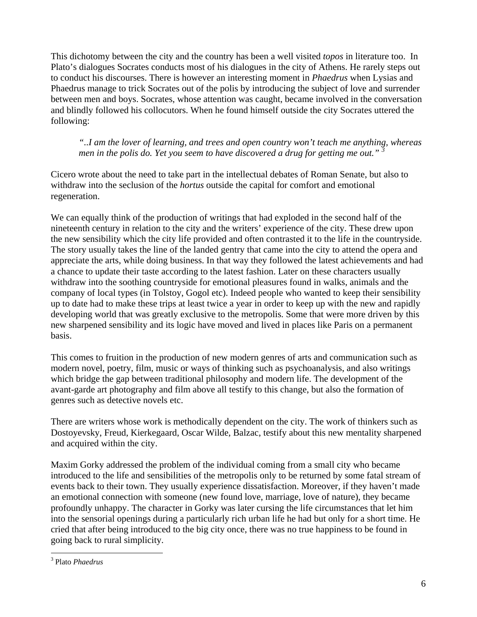This dichotomy between the city and the country has been a well visited *topos* in literature too. In Plato's dialogues Socrates conducts most of his dialogues in the city of Athens. He rarely steps out to conduct his discourses. There is however an interesting moment in *Phaedrus* when Lysias and Phaedrus manage to trick Socrates out of the polis by introducing the subject of love and surrender between men and boys. Socrates, whose attention was caught, became involved in the conversation and blindly followed his collocutors. When he found himself outside the city Socrates uttered the following:

*"..I am the lover of learning, and trees and open country won't teach me anything, whereas men in the polis do. Yet you seem to have discovered a drug for getting me out.*"

Cicero wrote about the need to take part in the intellectual debates of Roman Senate, but also to withdraw into the seclusion of the *hortus* outside the capital for comfort and emotional regeneration.

We can equally think of the production of writings that had exploded in the second half of the nineteenth century in relation to the city and the writers' experience of the city. These drew upon the new sensibility which the city life provided and often contrasted it to the life in the countryside. The story usually takes the line of the landed gentry that came into the city to attend the opera and appreciate the arts, while doing business. In that way they followed the latest achievements and had a chance to update their taste according to the latest fashion. Later on these characters usually withdraw into the soothing countryside for emotional pleasures found in walks, animals and the company of local types (in Tolstoy, Gogol etc). Indeed people who wanted to keep their sensibility up to date had to make these trips at least twice a year in order to keep up with the new and rapidly developing world that was greatly exclusive to the metropolis. Some that were more driven by this new sharpened sensibility and its logic have moved and lived in places like Paris on a permanent basis.

This comes to fruition in the production of new modern genres of arts and communication such as modern novel, poetry, film, music or ways of thinking such as psychoanalysis, and also writings which bridge the gap between traditional philosophy and modern life. The development of the avant-garde art photography and film above all testify to this change, but also the formation of genres such as detective novels etc.

There are writers whose work is methodically dependent on the city. The work of thinkers such as Dostoyevsky, Freud, Kierkegaard, Oscar Wilde, Balzac, testify about this new mentality sharpened and acquired within the city.

Maxim Gorky addressed the problem of the individual coming from a small city who became introduced to the life and sensibilities of the metropolis only to be returned by some fatal stream of events back to their town. They usually experience dissatisfaction. Moreover, if they haven't made an emotional connection with someone (new found love, marriage, love of nature), they became profoundly unhappy. The character in Gorky was later cursing the life circumstances that let him into the sensorial openings during a particularly rich urban life he had but only for a short time. He cried that after being introduced to the big city once, there was no true happiness to be found in going back to rural simplicity.

 3 Plato *Phaedrus*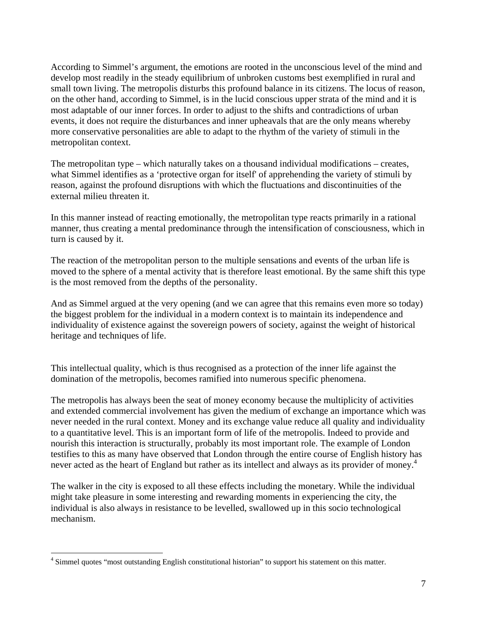According to Simmel's argument, the emotions are rooted in the unconscious level of the mind and develop most readily in the steady equilibrium of unbroken customs best exemplified in rural and small town living. The metropolis disturbs this profound balance in its citizens. The locus of reason, on the other hand, according to Simmel, is in the lucid conscious upper strata of the mind and it is most adaptable of our inner forces. In order to adjust to the shifts and contradictions of urban events, it does not require the disturbances and inner upheavals that are the only means whereby more conservative personalities are able to adapt to the rhythm of the variety of stimuli in the metropolitan context.

The metropolitan type – which naturally takes on a thousand individual modifications – creates, what Simmel identifies as a 'protective organ for itself' of apprehending the variety of stimuli by reason, against the profound disruptions with which the fluctuations and discontinuities of the external milieu threaten it.

In this manner instead of reacting emotionally, the metropolitan type reacts primarily in a rational manner, thus creating a mental predominance through the intensification of consciousness, which in turn is caused by it.

The reaction of the metropolitan person to the multiple sensations and events of the urban life is moved to the sphere of a mental activity that is therefore least emotional. By the same shift this type is the most removed from the depths of the personality.

And as Simmel argued at the very opening (and we can agree that this remains even more so today) the biggest problem for the individual in a modern context is to maintain its independence and individuality of existence against the sovereign powers of society, against the weight of historical heritage and techniques of life.

This intellectual quality, which is thus recognised as a protection of the inner life against the domination of the metropolis, becomes ramified into numerous specific phenomena.

The metropolis has always been the seat of money economy because the multiplicity of activities and extended commercial involvement has given the medium of exchange an importance which was never needed in the rural context. Money and its exchange value reduce all quality and individuality to a quantitative level. This is an important form of life of the metropolis. Indeed to provide and nourish this interaction is structurally, probably its most important role. The example of London testifies to this as many have observed that London through the entire course of English history has never acted as the heart of England but rather as its intellect and always as its provider of money.<sup>4</sup>

The walker in the city is exposed to all these effects including the monetary. While the individual might take pleasure in some interesting and rewarding moments in experiencing the city, the individual is also always in resistance to be levelled, swallowed up in this socio technological mechanism.

The summer quotes "most outstanding English constitutional historian" to support his statement on this matter.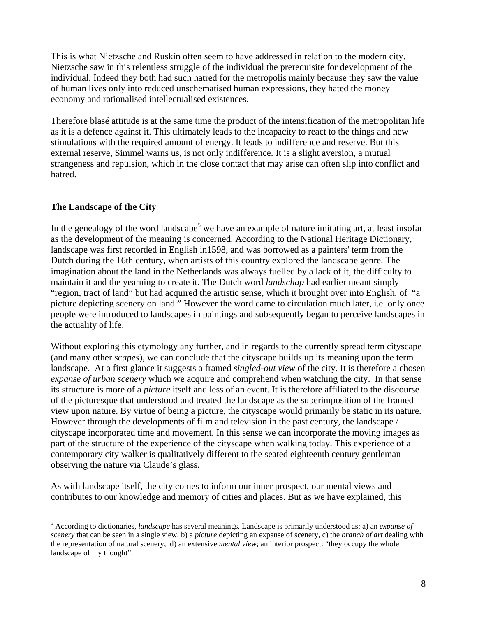This is what Nietzsche and Ruskin often seem to have addressed in relation to the modern city. Nietzsche saw in this relentless struggle of the individual the prerequisite for development of the individual. Indeed they both had such hatred for the metropolis mainly because they saw the value of human lives only into reduced unschematised human expressions, they hated the money economy and rationalised intellectualised existences.

Therefore blasé attitude is at the same time the product of the intensification of the metropolitan life as it is a defence against it. This ultimately leads to the incapacity to react to the things and new stimulations with the required amount of energy. It leads to indifference and reserve. But this external reserve, Simmel warns us, is not only indifference. It is a slight aversion, a mutual strangeness and repulsion, which in the close contact that may arise can often slip into conflict and hatred.

#### **The Landscape of the City**

<u>.</u>

In the genealogy of the word landscape<sup>5</sup> we have an example of nature imitating art, at least insofar as the development of the meaning is concerned. According to the National Heritage Dictionary, landscape was first recorded in English in1598, and was borrowed as a painters' term from the Dutch during the 16th century, when artists of this country explored the landscape genre. The imagination about the land in the Netherlands was always fuelled by a lack of it, the difficulty to maintain it and the yearning to create it. The Dutch word *landschap* had earlier meant simply "region, tract of land" but had acquired the artistic sense, which it brought over into English, of "a picture depicting scenery on land." However the word came to circulation much later, i.e. only once people were introduced to landscapes in paintings and subsequently began to perceive landscapes in the actuality of life.

Without exploring this etymology any further, and in regards to the currently spread term cityscape (and many other *scapes*), we can conclude that the cityscape builds up its meaning upon the term landscape. At a first glance it suggests a framed *singled-out view* of the city. It is therefore a chosen *expanse of urban scenery* which we acquire and comprehend when watching the city. In that sense its structure is more of a *picture* itself and less of an event. It is therefore affiliated to the discourse of the picturesque that understood and treated the landscape as the superimposition of the framed view upon nature. By virtue of being a picture, the cityscape would primarily be static in its nature. However through the developments of film and television in the past century, the landscape / cityscape incorporated time and movement. In this sense we can incorporate the moving images as part of the structure of the experience of the cityscape when walking today. This experience of a contemporary city walker is qualitatively different to the seated eighteenth century gentleman observing the nature via Claude's glass.

As with landscape itself, the city comes to inform our inner prospect, our mental views and contributes to our knowledge and memory of cities and places. But as we have explained, this

<sup>5</sup> According to dictionaries, *landscape* has several meanings. Landscape is primarily understood as: a) an *expanse of scenery* that can be seen in a single view, b) a *picture* depicting an expanse of scenery, c) the *branch of art* dealing with the representation of natural scenery, d) an extensive *mental view*; an interior prospect: "they occupy the whole landscape of my thought".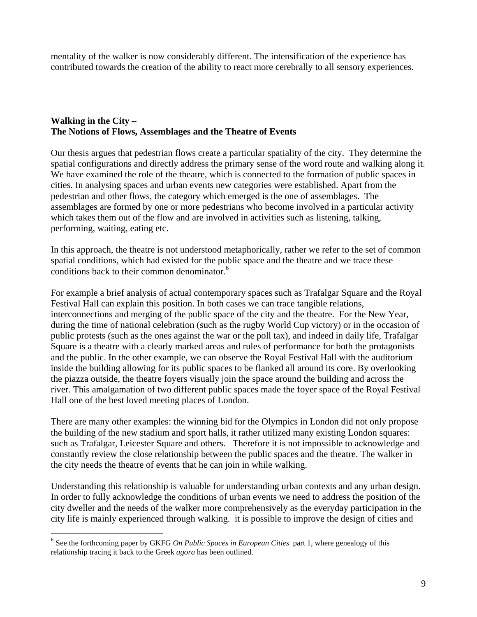mentality of the walker is now considerably different. The intensification of the experience has contributed towards the creation of the ability to react more cerebrally to all sensory experiences.

#### **Walking in the City – The Notions of Flows, Assemblages and the Theatre of Events**

Our thesis argues that pedestrian flows create a particular spatiality of the city. They determine the spatial configurations and directly address the primary sense of the word route and walking along it. We have examined the role of the theatre, which is connected to the formation of public spaces in cities. In analysing spaces and urban events new categories were established. Apart from the pedestrian and other flows, the category which emerged is the one of assemblages. The assemblages are formed by one or more pedestrians who become involved in a particular activity which takes them out of the flow and are involved in activities such as listening, talking, performing, waiting, eating etc.

In this approach, the theatre is not understood metaphorically, rather we refer to the set of common spatial conditions, which had existed for the public space and the theatre and we trace these conditions back to their common denominator.<sup>6</sup>

For example a brief analysis of actual contemporary spaces such as Trafalgar Square and the Royal Festival Hall can explain this position. In both cases we can trace tangible relations, interconnections and merging of the public space of the city and the theatre. For the New Year, during the time of national celebration (such as the rugby World Cup victory) or in the occasion of public protests (such as the ones against the war or the poll tax), and indeed in daily life, Trafalgar Square is a theatre with a clearly marked areas and rules of performance for both the protagonists and the public. In the other example, we can observe the Royal Festival Hall with the auditorium inside the building allowing for its public spaces to be flanked all around its core. By overlooking the piazza outside, the theatre foyers visually join the space around the building and across the river. This amalgamation of two different public spaces made the foyer space of the Royal Festival Hall one of the best loved meeting places of London.

There are many other examples: the winning bid for the Olympics in London did not only propose the building of the new stadium and sport halls, it rather utilized many existing London squares: such as Trafalgar, Leicester Square and others. Therefore it is not impossible to acknowledge and constantly review the close relationship between the public spaces and the theatre. The walker in the city needs the theatre of events that he can join in while walking.

Understanding this relationship is valuable for understanding urban contexts and any urban design. In order to fully acknowledge the conditions of urban events we need to address the position of the city dweller and the needs of the walker more comprehensively as the everyday participation in the city life is mainly experienced through walking. it is possible to improve the design of cities and

<u>.</u>

<sup>&</sup>lt;sup>6</sup> See the forthcoming paper by GKFG *On Public Spaces in European Cities* part 1, where genealogy of this relationship tracing it back to the Greek *agora* has been outlined.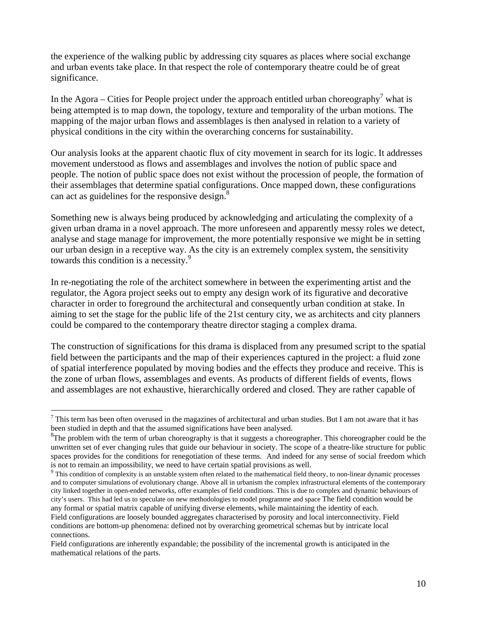the experience of the walking public by addressing city squares as places where social exchange and urban events take place. In that respect the role of contemporary theatre could be of great significance.

In the Agora – Cities for People project under the approach entitled urban choreography<sup>7</sup> what is being attempted is to map down, the topology, texture and temporality of the urban motions. The mapping of the major urban flows and assemblages is then analysed in relation to a variety of physical conditions in the city within the overarching concerns for sustainability.

Our analysis looks at the apparent chaotic flux of city movement in search for its logic. It addresses movement understood as flows and assemblages and involves the notion of public space and people. The notion of public space does not exist without the procession of people, the formation of their assemblages that determine spatial configurations. Once mapped down, these configurations can act as guidelines for the responsive design.<sup>8</sup>

Something new is always being produced by acknowledging and articulating the complexity of a given urban drama in a novel approach. The more unforeseen and apparently messy roles we detect, analyse and stage manage for improvement, the more potentially responsive we might be in setting our urban design in a receptive way. As the city is an extremely complex system, the sensitivity towards this condition is a necessity.<sup>9</sup>

In re-negotiating the role of the architect somewhere in between the experimenting artist and the regulator, the Agora project seeks out to empty any design work of its figurative and decorative character in order to foreground the architectural and consequently urban condition at stake. In aiming to set the stage for the public life of the 21st century city, we as architects and city planners could be compared to the contemporary theatre director staging a complex drama.

The construction of significations for this drama is displaced from any presumed script to the spatial field between the participants and the map of their experiences captured in the project: a fluid zone of spatial interference populated by moving bodies and the effects they produce and receive. This is the zone of urban flows, assemblages and events. As products of different fields of events, flows and assemblages are not exhaustive, hierarchically ordered and closed. They are rather capable of

<sup>&</sup>lt;u>.</u>  $<sup>7</sup>$  This term has been often overused in the magazines of architectural and urban studies. But I am not aware that it has</sup> been studied in depth and that the assumed significations have been analysed.

 ${}^{8}$ The problem with the term of urban choreography is that it suggests a choreographer. This choreographer could be the unwritten set of ever changing rules that guide our behaviour in society. The scope of a theatre-like structure for public spaces provides for the conditions for renegotiation of these terms. And indeed for any sense of social freedom which is not to remain an impossibility, we need to have certain spatial provisions as well.

 $9$  This condition of complexity is an unstable system often related to the mathematical field theory, to non-linear dynamic processes and to computer simulations of evolutionary change. Above all in urbanism the complex infrastructural elements of the contemporary city linked together in open-ended networks, offer examples of field conditions. This is due to complex and dynamic behaviours of city's users. This had led us to speculate on new methodologies to model programme and space The field condition would be any formal or spatial matrix capable of unifying diverse elements, while maintaining the identity of each.

Field configurations are loosely bounded aggregates characterised by porosity and local interconnectivity. Field conditions are bottom-up phenomena: defined not by overarching geometrical schemas but by intricate local connections.

Field configurations are inherently expandable; the possibility of the incremental growth is anticipated in the mathematical relations of the parts.